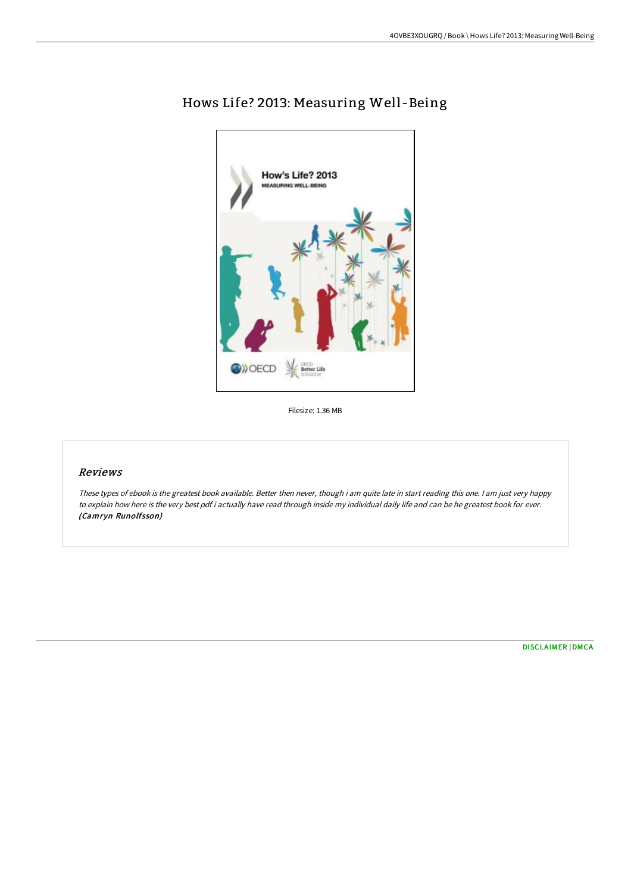

# Hows Life? 2013: Measuring Well -Being

Filesize: 1.36 MB

## Reviews

These types of ebook is the greatest book available. Better then never, though i am quite late in start reading this one. <sup>I</sup> am just very happy to explain how here is the very best pdf i actually have read through inside my individual daily life and can be he greatest book for ever. (Camryn Runolfsson)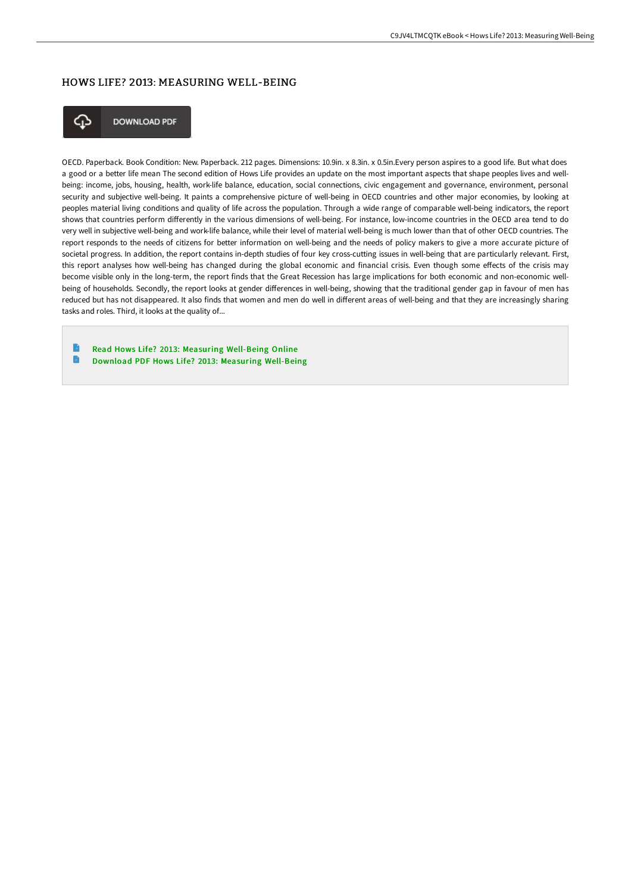#### HOWS LIFE? 2013: MEASURING WELL-BEING



**DOWNLOAD PDF** 

OECD. Paperback. Book Condition: New. Paperback. 212 pages. Dimensions: 10.9in. x 8.3in. x 0.5in.Every person aspires to a good life. But what does a good or a better life mean The second edition of Hows Life provides an update on the most important aspects that shape peoples lives and wellbeing: income, jobs, housing, health, work-life balance, education, social connections, civic engagement and governance, environment, personal security and subjective well-being. It paints a comprehensive picture of well-being in OECD countries and other major economies, by looking at peoples material living conditions and quality of life across the population. Through a wide range of comparable well-being indicators, the report shows that countries perform differently in the various dimensions of well-being. For instance, low-income countries in the OECD area tend to do very well in subjective well-being and work-life balance, while their level of material well-being is much lower than that of other OECD countries. The report responds to the needs of citizens for better information on well-being and the needs of policy makers to give a more accurate picture of societal progress. In addition, the report contains in-depth studies of four key cross-cutting issues in well-being that are particularly relevant. First, this report analyses how well-being has changed during the global economic and financial crisis. Even though some effects of the crisis may become visible only in the long-term, the report finds that the Great Recession has large implications for both economic and non-economic wellbeing of households. Secondly, the report looks at gender differences in well-being, showing that the traditional gender gap in favour of men has reduced but has not disappeared. It also finds that women and men do well in different areas of well-being and that they are increasingly sharing tasks and roles. Third, it looks at the quality of...

Read Hows Life? 2013: Measuring [Well-Being](http://albedo.media/hows-life-2013-measuring-well-being.html) Online  $\begin{array}{c} \hline \end{array}$ Download PDF Hows Life? 2013: Measuring [Well-Being](http://albedo.media/hows-life-2013-measuring-well-being.html)